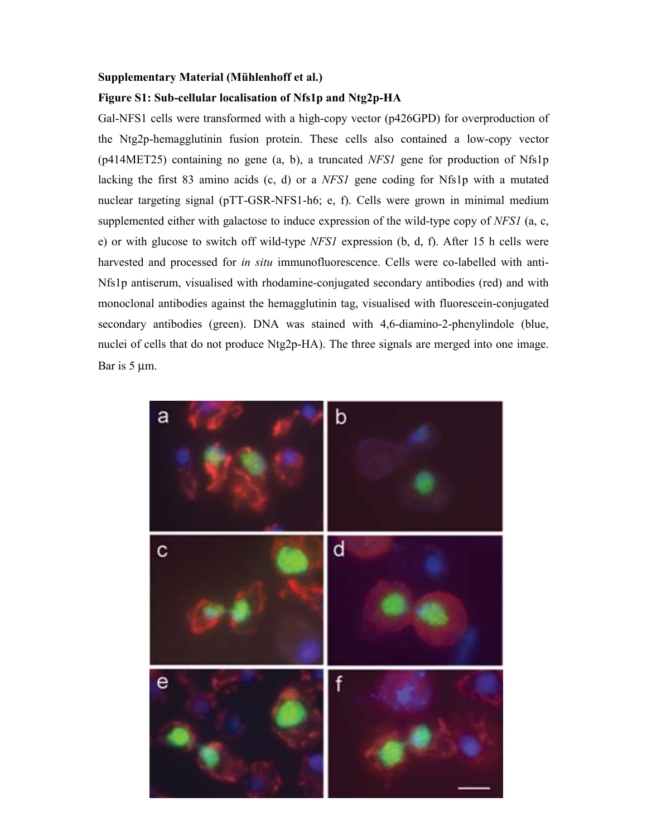## **Supplementary Material (Mühlenhoff et al.)**

## **Figure S1: Sub-cellular localisation of Nfs1p and Ntg2p-HA**

Gal-NFS1 cells were transformed with a high-copy vector (p426GPD) for overproduction of the Ntg2p-hemagglutinin fusion protein. These cells also contained a low-copy vector (p414MET25) containing no gene (a, b), a truncated *NFS1* gene for production of Nfs1p lacking the first 83 amino acids (c, d) or a *NFS1* gene coding for Nfs1p with a mutated nuclear targeting signal (pTT-GSR-NFS1-h6; e, f). Cells were grown in minimal medium supplemented either with galactose to induce expression of the wild-type copy of *NFS1* (a, c, e) or with glucose to switch off wild-type *NFS1* expression (b, d, f). After 15 h cells were harvested and processed for *in situ* immunofluorescence. Cells were co-labelled with anti-Nfs1p antiserum, visualised with rhodamine-conjugated secondary antibodies (red) and with monoclonal antibodies against the hemagglutinin tag, visualised with fluorescein-conjugated secondary antibodies (green). DNA was stained with 4,6-diamino-2-phenylindole (blue, nuclei of cells that do not produce Ntg2p-HA). The three signals are merged into one image. Bar is 5 µm.